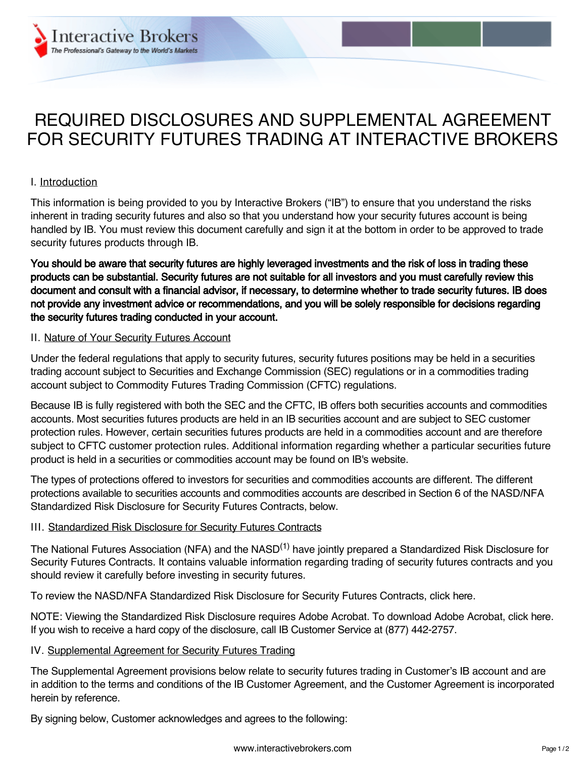

# REQUIRED DISCLOSURES AND SUPPLEMENTAL AGREEMENT FOR SECURITY FUTURES TRADING AT INTERACTIVE BROKERS

## I. Introduction

This information is being provided to you by Interactive Brokers ("IB") to ensure that you understand the risks inherent in trading security futures and also so that you understand how your security futures account is being handled by IB. You must review this document carefully and sign it at the bottom in order to be approved to trade security futures products through IB.

You should be aware that security futures are highly leveraged investments and the risk of loss in trading these products can be substantial. Security futures are not suitable for all investors and you must carefully review this document and consult with a financial advisor, if necessary, to determine whether to trade security futures. IB does not provide any investment advice or recommendations, and you will be solely responsible for decisions regarding the security futures trading conducted in your account.

### II. Nature of Your Security Futures Account

Under the federal regulations that apply to security futures, security futures positions may be held in a securities trading account subject to Securities and Exchange Commission (SEC) regulations or in a commodities trading account subject to Commodity Futures Trading Commission (CFTC) regulations.

Because IB is fully registered with both the SEC and the CFTC, IB offers both securities accounts and commodities accounts. Most securities futures products are held in an IB securities account and are subject to SEC customer protection rules. However, certain securities futures products are held in a commodities account and are therefore subject to CFTC customer protection rules. Additional information regarding whether a particular securities future product is held in a securities or commodities account may be found on IB's website.

The types of protections offered to investors for securities and commodities accounts are different. The different protections available to securities accounts and commodities accounts are described in Section 6 of the [NASD/NFA](http://#) [Standardized Risk Disclosure for Security Futures Contracts,](http://#) below.

#### III. Standardized Risk Disclosure for Security Futures Contracts

The National Futures Association (NFA) and the NASD<sup>(1)</sup> have jointly prepared a [Standardized Risk Disclosure for](http://#) [Security Futures Contracts.](http://#) It contains valuable information regarding trading of security futures contracts and you should review it carefully before investing in security futures.

To review the [NASD/NFA Standardized Risk Disclosure for Security Futures Contracts](http://#), click [here](http://#).

NOTE: Viewing the Standardized Risk Disclosure requires Adobe Acrobat. To download Adobe Acrobat, click [here.](http://#) If you wish to receive a hard copy of the disclosure, call IB Customer Service at (877) 442-2757.

### IV. Supplemental Agreement for Security Futures Trading

The Supplemental Agreement provisions below relate to security futures trading in Customer's IB account and are in addition to the terms and conditions of the IB Customer Agreement, and the Customer Agreement is incorporated herein by reference.

By signing below, Customer acknowledges and agrees to the following: